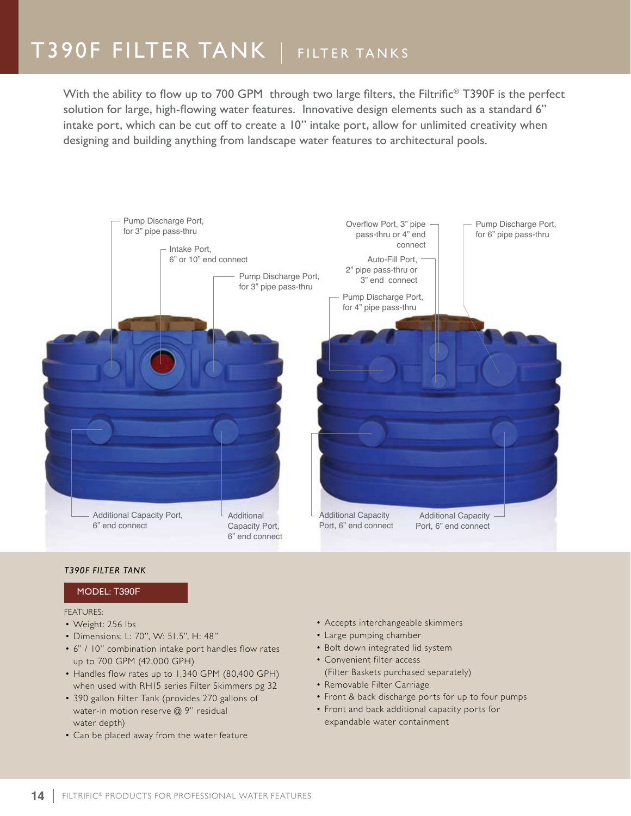With the ability to flow up to 700 GPM through two large filters, the Filtrific<sup>®</sup> T390F is the perfect solution for large, high-flowing water features. Innovative design elements such as a standard 6" intake port, which can be cut off to create a 10" intake port, allow for unlimited creativity when designing and building anything from landscape water features to architectural pools.



### *T390F Filter Tank*

### Model: T390F

#### FEATURES:

- Weight: 256 lbs
- • Dimensions: L: 70", W: 51.5", H: 48"
- • 6" / 10" combination intake port handles flow rates up to 700 GPM (42,000 GPH)
- Handles flow rates up to 1,340 GPM (80,400 GPH) when used with RH15 series Filter Skimmers pg 32
- 390 gallon Filter Tank (provides 270 gallons of water-in motion reserve @ 9" residual water depth)
- Can be placed away from the water feature
- • Accepts interchangeable skimmers
- • Large pumping chamber
- Bolt down integrated lid system
- • Convenient filter access (Filter Baskets purchased separately)
- Removable Filter Carriage
- Front & back discharge ports for up to four pumps
- • Front and back additional capacity ports for expandable water containment